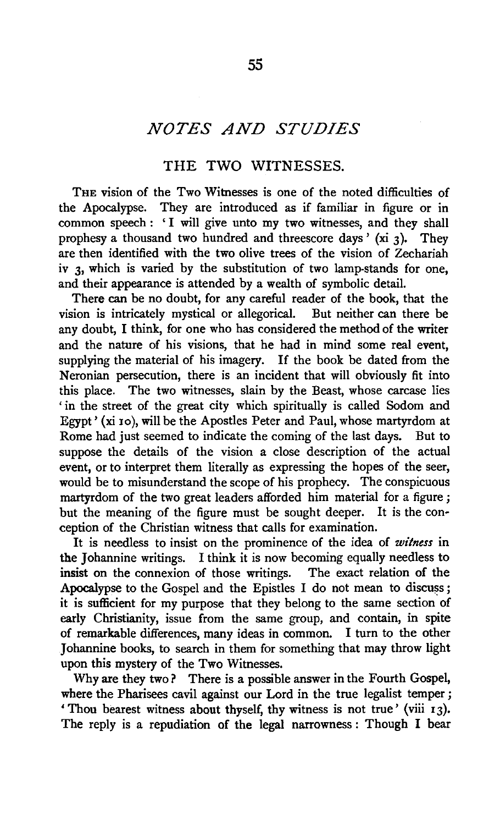## *NOTES AND STUDIES*

## THE TWO WITNESSES.

THE vision of the Two Witnesses is one of the noted difficulties of the Apocalypse. They are introduced as if familiar in figure or in common speech : 'I will give unto my two witnesses, and they shall prophesy a thousand two hundred and threescore days' (xi 3). They are then identified with the two olive trees of the vision of Zechariah iv 3, which is varied by the substitution of two lamp-stands for one, and their appearance is attended by a wealth of symbolic detail.

There can be no doubt, for any careful reader of the book, that the sion is intricately mystical or allegorical. But neither can there be vision is intricately mystical or allegorical. any doubt, I think, for one who has considered the method of the writer and the nature of his visions, that he had in mind some real event, supplying the material of his imagery. If the book be dated from the Neronian persecution, there is an incident that will obviously fit into this place. The two witnesses, slain by the Beast, whose carcase lies ' in the street of the great city which spiritually is called Sodom and Egypt' (xi 10), will be the Apostles Peter and Paul, whose martyrdom at Rome had just seemed to indicate the coming of the last days. But to suppose the details of the vision a close description of the actual event, or to interpret them literally as expressing the hopes of the seer, would be to misunderstand the scope of his prophecy. The conspicuous martyrdom of the two great leaders afforded him material for a figure ; but the meaning of the figure must be sought deeper. It is the conception of the Christian witness that calls for examination.

It is needless to insist on the prominence of the idea of *witness* in the Johannine writings. I think it is now becoming equally needless to insist on the connexion of those writings. The exact relation of the Apocalypse to the Gospel and the Epistles I do not mean to discuss; it is sufficient for my purpose that they belong to the same section of early Christianity, issue from the same group, and contain, in spite of remarkable differences, many ideas in common. I turn to the other Johannine books, to search in them for something that may throw light upon this mystery of the Two Witnesses.

Why are they two? There is a possible answer in the Fourth Gospel, where the Pharisees cavil against our Lord in the true legalist temper ; 'Thou bearest witness about thyself, thy witness is not true' (viii 13). The reply is a repudiation of the legal narrowness : Though I bear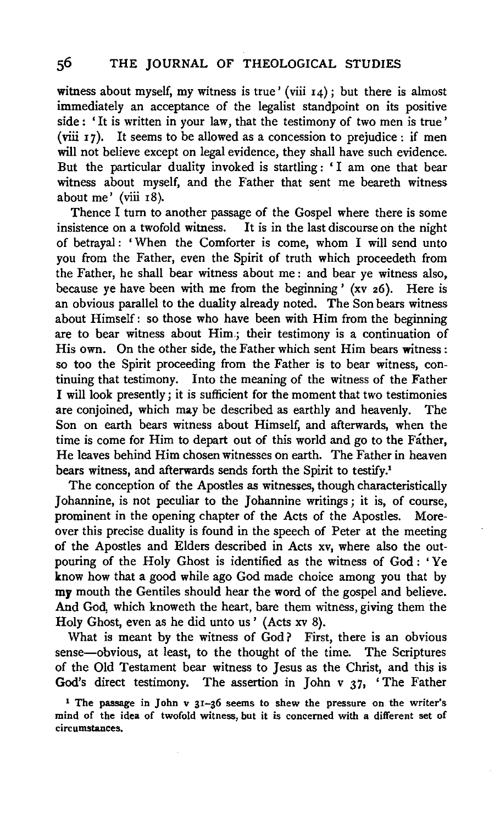witness about myself, my witness is true' (viii 14); but there is almost immediately an acceptance of the legalist standpoint on its positive side: 'It is written in your law, that the testimony of two men is true' (viii  $17$ ). It seems to be allowed as a concession to prejudice: if men will not believe except on legal evidence, they shall have such evidence. But the particular duality invoked is startling: 'I am one that bear witness about myself, and the Father that sent me beareth witness about me' (viii 18).

Thence I turn to another passage of the Gospel where there is some insistence on a twofold witness. It is in the last discourse on the night of betrayal: 'When the Comforter is come, whom I will send unto you from the Father, even the Spirit of truth which proceedeth from the Father, he shall bear witness about me : and bear ye witness also, because ye have been with me from the beginning ' (xv 26}. Here is an obvious parallel to the duality already noted. The Son bears witness about Himself: so those who have been with Him from the beginning are to bear witness about Him; their testimony is a continuation of His own. On the other side, the Father which sent Him bears witness : so too the Spirit proceeding from the Father is to bear witness, continuing that testimony. Into the meaning of the witness of the Father I will look presently; it is sufficient for the moment that two testimonies are conjoined, which may be described as earthly and heavenly. The Son on earth bears witness about Himself, and afterwards, when the time is come for Him to depart out of this world and go to the Father, He leaves behind Him chosen witnesses on earth. The Father in heaven bears witness, and afterwards sends forth the Spirit to testify.<sup>1</sup>

The conception of the Apostles as witnesses, though characteristically Johannine, is not peculiar to the Johannine writings; it is, of course, prominent in the opening chapter of the Acts of the Apostles. Moreover this precise duality is found in the speech of Peter at the meeting of the Apostles and Elders described in Acts xv, where also the outpouring of the Holy Ghost is identified as the witness of God : ' Ye know how that a good while ago God made choice among you that by my mouth the Gentiles should hear the word of the gospel and believe. And God, which knoweth the heart, bare them witness, giving them the Holy Ghost, even as he did unto us ' (Acts xv 8).

What is meant by the witness of God? First, there is an obvious sense-obvious, at least, to the thought of the time. The Scriptures of the Old Testament bear witness to Jesus as the Christ, and this is God's direct testimony. The assertion in John v 37, 'The Father

<sup>&</sup>lt;sup>1</sup> The passage in John v 31-36 seems to shew the pressure on the writer's mind of the idea of twofold witness, but it is concerned with a different set of circumstances.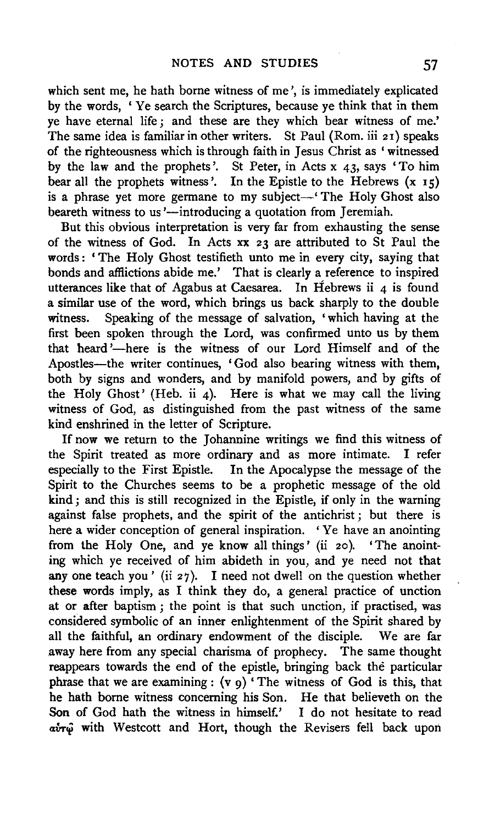which sent me, he hath borne witness of me', is immediately explicated by the words, ' Ye search the Scriptures, because ye think that in them ye have eternal life ; and these are they which bear witness of me.' The same idea is familiar in other writers. St Paul (Rom. iii 21) speaks of the righteousness which is through faith in Jesus Christ as ' witnessed by the law and the prophets'. St Peter, in Acts x 43, says 'To him bear all the prophets witness'. In the Epistle to the Hebrews  $(x_1, y_1)$ is a phrase yet more germane to my subject-' The Holy Ghost also beareth witness to us'—introducing a quotation from Teremiah.

But this obvious interpretation is very far from exhausting the sense of the witness of God. In Acts xx 23 are attributed to St Paul the words : ' The Holy Ghost testifieth unto me in every city, saying that bonds and afflictions abide me.' That is clearly a reference to inspired utterances like that of Agabus at Caesarea. In Hebrews ii  $\alpha$  is found a similar use of the word, which brings us back sharply to the double witness. Speaking of the message of salvation, 'which having at the first been spoken through the Lord, was confirmed unto us by them that heard '-here is the witness of our Lord Himself and of the Apostles-the writer continues, 'God also bearing witness with them, both by signs and wonders, and by manifold powers, and by gifts of the Holy Ghost' (Heb. ii 4). Here is what we may call the living witness of God, as distinguished from the past witness of the same kind enshrined in the letter of Scripture.

If now we return to the Johannine writings we find this witness of the Spirit treated as more ordinary and as more intimate. I refer especially to the First Epistle. In the Apocalypse the message of the Spirit to the Churches seems to be a prophetic message of the old kind ; and this is still recognized in the Epistle, if only in the warning against false prophets, and the spirit of the antichrist ; but there is here a wider conception of general inspiration. ' Ye have an anointing from the Holy One, and ye know all things' (ii 20). 'The anointing which ye received of him abideth in you, and ye need not that any one teach you' (ii 27). I need not dwell on the question whether these words imply, as I think they do, a general practice of unction at or after baptism; the point is that such unction, if practised, was considered symbolic of an inner enlightenment of the Spirit shared by all the faithful, an ordinary endowment of the disciple. We are far away here from any special charisma of prophecy. The same thought reappears towards the end of the epistle, bringing back the particular phrase that we are examining:  $(v_9)$  The witness of God is this, that he hath borne witness concerning his Son. He that believeth on the Son of God hath the witness in himself.' I do not hesitate to read  $a\mathbf{\hat{v}}$  with Westcott and Hort, though the Revisers fell back upon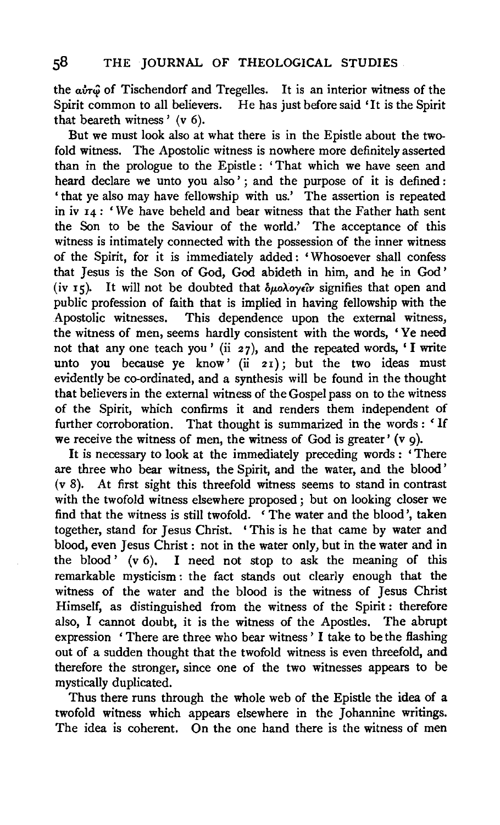the  $a\dot{v}\tau\hat{\varphi}$  of Tischendorf and Tregelles. It is an interior witness of the Spirit common to all believers. He has just before said 'It is the Spirit that beareth witness' (v 6).

But we must look also at what there is in the Epistle about the twofold witness. The Apostolic witness is nowhere more definitely asserted than in the prologue to the Epistle : ' That which we have seen and heard declare we unto you also'; and the purpose of it is defined : 'that ye also may have fellowship with us.' The assertion is repeated in iv  $I_4$ : 'We have beheld and bear witness that the Father hath sent the Son to be the Saviour of the world.' The acceptance of this witness is intimately connected with the possession of the inner witness of the Spirit, for it is immediately added : 'Whosoever shall confess that Jesus is the Son of God, God abideth in him, and he in God ' (iv  $I_5$ ). It will not be doubted that  $\delta \mu_o \lambda_o \gamma_e \hat{u}$  signifies that open and public profession of faith that is implied in having fellowship with the Apostolic witnesses. This dependence upon the external witness, the witness of men, seems hardly consistent with the words, 'Ye need not that any one teach you' (ii 27), and the repeated words, 'I write unto you because ye know' (ii 21); but the two ideas must evidently be co-ordinated, and a synthesis will be found in the thought that believers in the external witness of the Gospel pass on to the witness of the Spirit, which confirms it and renders them independent of further corroboration. That thought is summarized in the words : ' If we receive the witness of men, the witness of God is greater'  $(v, q)$ .

It is necessary to look at the immediately preceding words : 'There are three who bear witness, the Spirit, and the water, and the blood' (v 8). At first sight this threefold witness seems to stand in contrast with the twofold witness elsewhere proposed ; but on looking closer we find that the witness is still twofold. 'The water and the blood', taken together, stand for Jesus Christ. ' This is he that came by water and blood, even Jesus Christ: not in the water only, but in the water and in the blood '  $(v 6)$ . I need not stop to ask the meaning of this remarkable mysticism: the fact stands out clearly enough that the witness of the water and the blood is the witness of Jesus Christ Himself, as distinguished from the witness of the Spirit : therefore also, I cannot doubt, it is the witness of the Apostles. The abrupt expression ' There are three who bear witness ' I take to be the flashing out of a sudden thought that the twofold witness is even threefold, and therefore the stronger, since one of the two witnesses appears to be mystically duplicated.

Thus there runs through the whole web of the Epistle the idea of a twofold witness which appears elsewhere in the Johannine writings. The idea is coherent. On the one hand there is the witness of men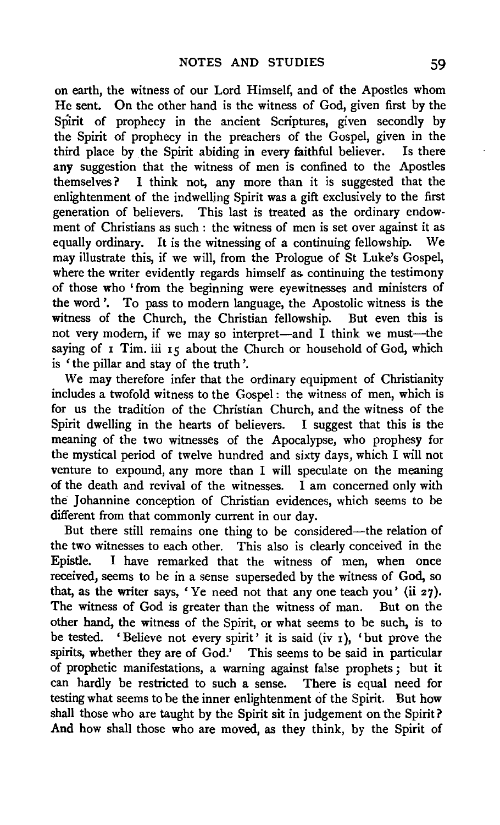on earth, the witness of our Lord Himself, and of the Apostles whom He sent. On the other hand is the witness of God, given first by the Spirit of prophecy in the ancient Scriptures, given secondly by the Spirit of prophecy in the preachers of the Gospel, given in the third place by the Spirit abiding in every faithful believer. Is there third place by the Spirit abiding in every faithful believer. any suggestion that the witness of men is confined to the Apostles themselves? I think not, any more than it is suggested that the enlightenment of the indwelling Spirit was a gift exclusively to the first generation of believers. This last is treated as the ordinary endowment of Christians as such : the witness of men is set over against it as equally ordinary. It is the witnessing of a continuing fellowship. We may illustrate this, if we will, from the Prologue of St Luke's Gospel, where the writer evidently regards himself as continuing the testimony of those who 'from the beginning were eyewitnesses and ministers of the word '. To pass to modern language, the Apostolic witness is the witness of the Church, the Christian fellowship. But even this is not very modern, if we may so interpret-and I think we must-the saying of I Tim. iii I5 about the Church or household of God, which is 'the pillar and stay of the truth'.

We may therefore infer that the ordinary equipment of Christianity includes a twofold witness to the Gospel : the witness of men, which is for us the tradition of the Christian Church, and the witness of the Spirit dwelling in the hearts of believers. I suggest that this is the meaning of the two witnesses of the Apocalypse, who prophesy for the mystical period of twelve hundred and sixty days, which I will not venture to expound, any more than I will speculate on the meaning of the death and revival of the witnesses. I am concerned only with the Johannine conception of Christian evidences, which seems to be different from that commonly current in our day.

But there still remains one thing to be considered-the relation of the two witnesses to each other. This also is clearly conceived in the Epistle. I have remarked that the witness of men, when once received, seems to be in a sense superseded by the witness of God, so that, as the writer says, 'Ye need not that any one teach you' (ii 27). The witness of God is greater than the witness of man. But on the other hand, the witness of the Spirit, or what seems to be such, is to be tested. 'Believe not every spirit' it is said (iv  $I$ ), 'but prove the spirits, whether they are of God.' This seems to be said in particular of prophetic manifestations, a warning against false prophets ; but it can hardly be restricted to such a sense. There is equal need for testing what seems to be the inner enlightenment of the Spirit. But how shall those who are taught by the Spirit sit in judgement on the Spirit? And how shall those who are moved, as they think, by the Spirit of